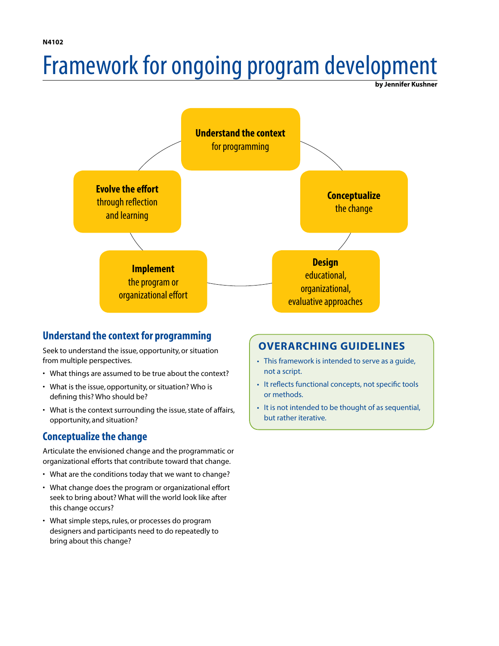## Framework for ongoing program development <sup>4102</sup><br>Framework for ongoing program development **by Jennifer Kushner**

**by Jennifer Kushner**



## **Understand the context for programming**

**Seek to understand the issue, opportunity, or situation** from multiple perspectives.

- What things are assumed to be true about the context?
- What is the issue, opportunity, or situation? Who is defining this? Who should be? this graph control
- What is the context surrounding the issue, state of affairs, opportunity, and situation? opportunity, and situation?

## **Conceptualize the change Conceptualize the change**

Articulate the envisioned change and the programmatic or Articulate the envisioned change and the programmatic or organizational efforts that contribute toward that change. organizational efforts that contribute toward that change.

- What are the conditions today that we want to change? What are the conditions today that we want to change?
- What change does the program or organizational effort seek to bring about? What will the world look like after this change occurs? occurs?
- What simple steps, rules, or processes do program mat simple steps, tales, or processes ab program<br>designers and participants need to do repeatedly to bring about this change? change<br>Changel

# **OVERARCHING GUIDELINES OVERARCHING GUIDELINES**

- This framework is intended to serve as a guide, not a script. not a scri
- It reflects functional concepts, not specific tools It reflects functional concepts, not specific tools or methods. or methods.
- It is not intended to be thought of as sequential, It is not intended to be thought of as sequential, but rather iterative. but rather iterative.